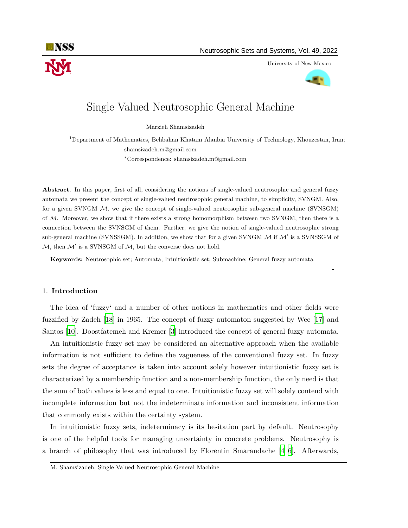

University of New Mexico



# Single Valued Neutrosophic General Machine

Marzieh Shamsizadeh

<sup>1</sup>Department of Mathematics, Behbahan Khatam Alanbia University of Technology, Khouzestan, Iran; shamsizadeh.m@gmail.com

*<sup>∗</sup>*Correspondence: shamsizadeh.m@gmail.com

**Abstract**. In this paper, first of all, considering the notions of single-valued neutrosophic and general fuzzy automata we present the concept of single-valued neutrosophic general machine, to simplicity, SVNGM. Also, for a given SVNGM *M*, we give the concept of single-valued neutrosophic sub-general machine (SVNSGM) of *M*. Moreover, we show that if there exists a strong homomorphism between two SVNGM, then there is a connection between the SVNSGM of them. Further, we give the notion of single-valued neutrosophic strong sub-general machine (SVNSSGM). In addition, we show that for a given SVNGM *M* if *M′* is a SVNSSGM of *M*, then *M′* is a SVNSGM of *M*, but the converse does not hold.

**Keywords:** Neutrosophic set; Automata; Intuitionistic set; Submachine; General fuzzy automata

**—————————————————————————————————————————-**

# 1. **Introduction**

The idea of 'fuzzy' and a number of other notions in mathematics and other fields were fuzzified by Zadeh [\[18](#page-21-0)] in 1965. The concept of fuzzy automaton suggested by Wee [[17\]](#page-21-1) and Santos [\[10](#page-21-2)]. Doostfatemeh and Kremer [\[3\]](#page-21-3) introduced the concept of general fuzzy automata.

An intuitionistic fuzzy set may be considered an alternative approach when the available information is not sufficient to define the vagueness of the conventional fuzzy set. In fuzzy sets the degree of acceptance is taken into account solely however intuitionistic fuzzy set is characterized by a membership function and a non-membership function, the only need is that the sum of both values is less and equal to one. Intuitionistic fuzzy set will solely contend with incomplete information but not the indeterminate information and inconsistent information that commonly exists within the certainty system.

In intuitionistic fuzzy sets, indeterminacy is its hesitation part by default. Neutrosophy is one of the helpful tools for managing uncertainty in concrete problems. Neutrosophy is a branch of philosophy that was introduced by Florentin Smarandache [[4](#page-21-4)[–6\]](#page-21-5). Afterwards,

M. Shamsizadeh, Single Valued Neutrosophic General Machine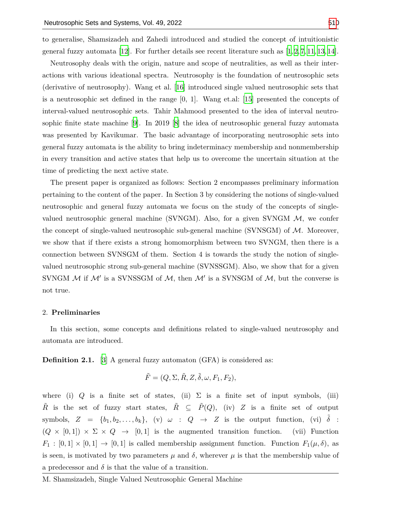to generalise, Shamsizadeh and Zahedi introduced and studied the concept of intuitionistic general fuzzy automata [\[12](#page-21-6)]. For further details see recent literature such as  $[1,2,7,11,13,14]$  $[1,2,7,11,13,14]$  $[1,2,7,11,13,14]$  $[1,2,7,11,13,14]$  $[1,2,7,11,13,14]$  $[1,2,7,11,13,14]$  $[1,2,7,11,13,14]$  $[1,2,7,11,13,14]$  $[1,2,7,11,13,14]$  $[1,2,7,11,13,14]$  $[1,2,7,11,13,14]$  $[1,2,7,11,13,14]$ .

Neutrosophy deals with the origin, nature and scope of neutralities, as well as their interactions with various ideational spectra. Neutrosophy is the foundation of neutrosophic sets (derivative of neutrosophy). Wang et al. [[16](#page-21-13)] introduced single valued neutrosophic sets that is a neutrosophic set defined in the range  $[0, 1]$ . Wang et.al: [\[15](#page-21-14)] presented the concepts of interval-valued neutrosophic sets. Tahir Mahmood presented to the idea of interval neutrosophic finite state machine [[9](#page-21-15)]. In 2019 [[8](#page-21-16)] the idea of neutrosophic general fuzzy automata was presented by Kavikumar. The basic advantage of incorporating neutrosophic sets into general fuzzy automata is the ability to bring indeterminacy membership and nonmembership in every transition and active states that help us to overcome the uncertain situation at the time of predicting the next active state.

The present paper is organized as follows: Section 2 encompasses preliminary information pertaining to the content of the paper. In Section 3 by considering the notions of single-valued neutrosophic and general fuzzy automata we focus on the study of the concepts of singlevalued neutrosophic general machine (SVNGM). Also, for a given SVNGM *M*, we confer the concept of single-valued neutrosophic sub-general machine (SVNSGM) of *M*. Moreover, we show that if there exists a strong homomorphism between two SVNGM, then there is a connection between SVNSGM of them. Section 4 is towards the study the notion of singlevalued neutrosophic strong sub-general machine (SVNSSGM). Also, we show that for a given SVNGM *M* if *M′* is a SVNSSGM of *M*, then *M′* is a SVNSGM of *M*, but the converse is not true.

## 2. **Preliminaries**

In this section, some concepts and definitions related to single-valued neutrosophy and automata are introduced.

**Definition 2.1.** [\[3\]](#page-21-3) A general fuzzy automaton (GFA) is considered as:

$$
\tilde{F} = (Q, \Sigma, \tilde{R}, Z, \tilde{\delta}, \omega, F_1, F_2),
$$

where (i) *Q* is a finite set of states, (ii)  $\Sigma$  is a finite set of input symbols, (iii)  $\tilde{R}$  is the set of fuzzy start states,  $\tilde{R} \subseteq \tilde{P}(Q)$ , (iv) *Z* is a finite set of output symbols,  $Z = \{b_1, b_2, \ldots, b_k\}$ , (v)  $\omega$  :  $Q \rightarrow Z$  is the output function, (vi)  $\tilde{\delta}$  :  $(Q \times [0,1]) \times \Sigma \times Q \rightarrow [0,1]$  is the augmented transition function. (vii) Function  $F_1 : [0,1] \times [0,1] \rightarrow [0,1]$  is called membership assignment function. Function  $F_1(\mu, \delta)$ , as is seen, is motivated by two parameters  $\mu$  and  $\delta$ , wherever  $\mu$  is that the membership value of a predecessor and  $\delta$  is that the value of a transition.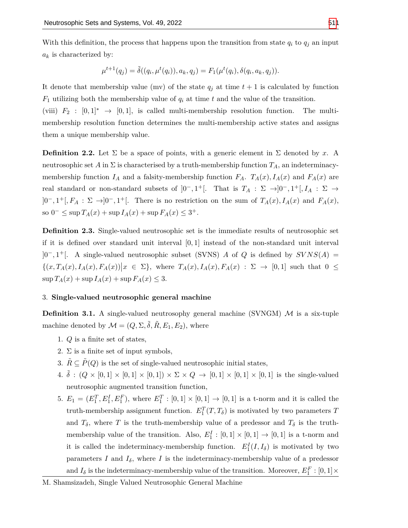With this definition, the process that happens upon the transition from state  $q_i$  to  $q_j$  an input *a<sup>k</sup>* is characterized by:

$$
\mu^{t+1}(q_j) = \tilde{\delta}((q_i, \mu^t(q_i)), a_k, q_j) = F_1(\mu^t(q_i), \delta(q_i, a_k, q_j)).
$$

It denote that membership value (mv) of the state  $q_j$  at time  $t+1$  is calculated by function *F*<sup>1</sup> utilizing both the membership value of *q<sup>i</sup>* at time *t* and the value of the transition.

(viii)  $F_2 : [0,1]^* \rightarrow [0,1]$ , is called multi-membership resolution function. The multimembership resolution function determines the multi-membership active states and assigns them a unique membership value.

**Definition 2.2.** Let  $\Sigma$  be a space of points, with a generic element in  $\Sigma$  denoted by *x*. A neutrosophic set *A* in  $\Sigma$  is characterised by a truth-membership function  $T_A$ , an indeterminacymembership function  $I_A$  and a falsity-membership function  $F_A$ .  $T_A(x)$ ,  $I_A(x)$  and  $F_A(x)$  are real standard or non-standard subsets of  $]0^-, 1^+[$ . That is  $T_A : \Sigma \to ]0^-, 1^+[$ ,  $I_A : \Sigma \to ]0^ ]0^-, 1^+[, F_A : \Sigma \rightarrow ]0^-, 1^+[$ . There is no restriction on the sum of  $T_A(x)$ ,  $I_A(x)$  and  $F_A(x)$ , so 0<sup>−</sup>  $\leq$  sup  $T_A(x)$  + sup  $I_A(x)$  + sup  $F_A(x)$   $\leq$  3<sup>+</sup>.

**Definition 2.3.** Single-valued neutrosophic set is the immediate results of neutrosophic set if it is defined over standard unit interval [0*,* 1] instead of the non-standard unit interval ]0*−,* 1 <sup>+</sup>[. A single-valued neutrosophic subset (SVNS) *A* of *Q* is defined by *SV NS*(*A*) =  $\{(x,T_A(x),I_A(x),F_A(x))\big| x \in \Sigma\}$ , where  $T_A(x),I_A(x),F_A(x) : \Sigma \to [0,1]$  such that  $0 \leq$  $\sup T_A(x) + \sup I_A(x) + \sup F_A(x) \leq 3.$ 

## 3. **Single-valued neutrosophic general machine**

**Definition 3.1.** A single-valued neutrosophy general machine (SVNGM) M is a six-tuple machine denoted by  $\mathcal{M} = (Q, \Sigma, \tilde{\delta}, \tilde{R}, E_1, E_2)$ , where

- 1. *Q* is a finite set of states,
- 2.  $\Sigma$  is a finite set of input symbols,
- 3.  $\tilde{R} \subseteq \tilde{P}(Q)$  is the set of single-valued neutrosophic initial states,
- 4.  $\tilde{\delta}$  :  $(Q \times [0,1] \times [0,1] \times [0,1]) \times \Sigma \times Q \rightarrow [0,1] \times [0,1] \times [0,1]$  is the single-valued neutrosophic augmented transition function,
- 5.  $E_1 = (E_1^T, E_1^I, E_1^F)$ , where  $E_1^T : [0, 1] \times [0, 1] \to [0, 1]$  is a t-norm and it is called the truth-membership assignment function.  $E_1^T(T, T_\delta)$  is motivated by two parameters *T* and  $T_{\delta}$ , where *T* is the truth-membership value of a predessor and  $T_{\delta}$  is the truthmembership value of the transition. Also,  $E_1^I : [0,1] \times [0,1] \rightarrow [0,1]$  is a t-norm and it is called the indeterminacy-membership function.  $E_1^I(I, I_\delta)$  is motivated by two parameters *I* and  $I_{\delta}$ , where *I* is the indeterminacy-membership value of a predessor and  $I_{\delta}$  is the indeterminacy-membership value of the transition. Moreover,  $E_1^F : [0,1] \times$

M. Shamsizadeh, Single Valued Neutrosophic General Machine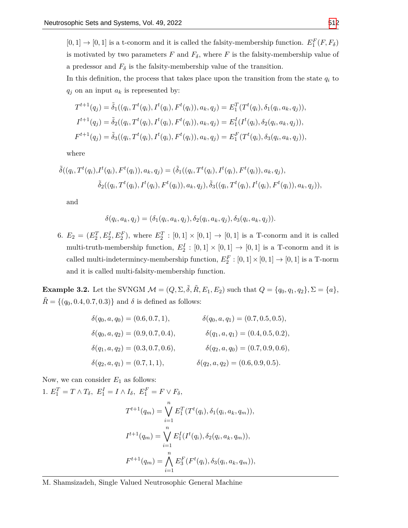$[0,1] \rightarrow [0,1]$  is a t-conorm and it is called the falsity-membership function.  $E_1^F(F, F_\delta)$ is motivated by two parameters  $F$  and  $F_{\delta}$ , where  $F$  is the falsity-membership value of a predessor and  $F_{\delta}$  is the falsity-membership value of the transition.

In this definition, the process that takes place upon the transition from the state  $q_i$  to  $q_j$  on an input  $a_k$  is represented by:

$$
T^{t+1}(q_j) = \tilde{\delta}_1((q_i, T^t(q_i), I^t(q_i), F^t(q_i)), a_k, q_j) = E_1^T(T^t(q_i), \delta_1(q_i, a_k, q_j)),
$$
  
\n
$$
I^{t+1}(q_j) = \tilde{\delta}_2((q_i, T^t(q_i), I^t(q_i), F^t(q_i)), a_k, q_j) = E_1^I(I^t(q_i), \delta_2(q_i, a_k, q_j)),
$$
  
\n
$$
F^{t+1}(q_j) = \tilde{\delta}_3((q_i, T^t(q_i), I^t(q_i), F^t(q_i)), a_k, q_j) = E_1^F(T^t(q_i), \delta_3(q_i, a_k, q_j)),
$$

where

$$
\tilde{\delta}((q_i, T^t(q_i), I^t(q_i), F^t(q_i)), a_k, q_j) = (\tilde{\delta}_1((q_i, T^t(q_i), I^t(q_i), F^t(q_i)), a_k, q_j), \n\tilde{\delta}_2((q_i, T^t(q_i), I^t(q_i), F^t(q_i)), a_k, q_j), \tilde{\delta}_3((q_i, T^t(q_i), I^t(q_i), F^t(q_i)), a_k, q_j)),
$$

and

$$
\delta(q_i, a_k, q_j) = (\delta_1(q_i, a_k, q_j), \delta_2(q_i, a_k, q_j), \delta_3(q_i, a_k, q_j)).
$$

6.  $E_2 = (E_2^T, E_2^I, E_2^F)$ , where  $E_2^T : [0, 1] \times [0, 1] \to [0, 1]$  is a T-conorm and it is called multi-truth-membership function,  $E_2^I : [0,1] \times [0,1] \rightarrow [0,1]$  is a T-conorm and it is called multi-indetermincy-membership function,  $E_2^F : [0,1] \times [0,1] \rightarrow [0,1]$  is a T-norm and it is called multi-falsity-membership function.

**Example 3.2.** Let the SVNGM  $M = (Q, \Sigma, \tilde{\delta}, \tilde{R}, E_1, E_2)$  such that  $Q = \{q_0, q_1, q_2\}, \Sigma = \{a\},\$  $R = \{(q_0, 0.4, 0.7, 0.3)\}$  and  $\delta$  is defined as follows:

$$
\delta(q_0, a, q_0) = (0.6, 0.7, 1), \qquad \delta(q_0, a, q_1) = (0.7, 0.5, 0.5),
$$
  
\n
$$
\delta(q_0, a, q_2) = (0.9, 0.7, 0.4), \qquad \delta(q_1, a, q_1) = (0.4, 0.5, 0.2),
$$
  
\n
$$
\delta(q_1, a, q_2) = (0.3, 0.7, 0.6), \qquad \delta(q_2, a, q_0) = (0.7, 0.9, 0.6),
$$
  
\n
$$
\delta(q_2, a, q_1) = (0.7, 1, 1), \qquad \delta(q_2, a, q_2) = (0.6, 0.9, 0.5).
$$

Now, we can consider *E*<sup>1</sup> as follows:

 $1. E_1^T = T \wedge T_\delta, E_1^I = I \wedge I_\delta, E_1^F = F \vee F_\delta,$ 

$$
T^{t+1}(q_m) = \bigvee_{i=1}^{n} E_1^T(T^t(q_i), \delta_1(q_i, a_k, q_m)),
$$
  

$$
I^{t+1}(q_m) = \bigvee_{i=1}^{n} E_1^I(I^t(q_i), \delta_2(q_i, a_k, q_m)),
$$
  

$$
F^{t+1}(q_m) = \bigwedge_{i=1}^{n} E_3^F(F^t(q_i), \delta_3(q_i, a_k, q_m)),
$$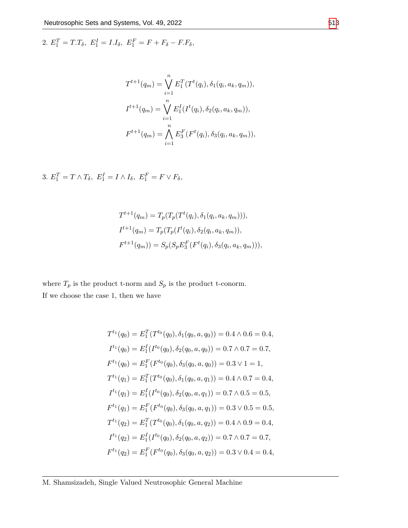$E_1^T = T.T_\delta, E_1^I = I.I_\delta, E_1^F = F + F_\delta - F.F_\delta,$ 

$$
T^{t+1}(q_m) = \bigvee_{i=1}^n E_1^T(T^t(q_i), \delta_1(q_i, a_k, q_m)),
$$
  

$$
I^{t+1}(q_m) = \bigvee_{i=1}^n E_1^I(I^t(q_i), \delta_2(q_i, a_k, q_m)),
$$
  

$$
F^{t+1}(q_m) = \bigwedge_{i=1}^n E_3^F(F^t(q_i), \delta_3(q_i, a_k, q_m)),
$$

$$
3. E_1^T = T \wedge T_\delta, E_1^I = I \wedge I_\delta, E_1^F = F \vee F_\delta,
$$

$$
T^{t+1}(q_m) = T_p(T_p(T^t(q_i), \delta_1(q_i, a_k, q_m))),
$$
  
\n
$$
I^{t+1}(q_m) = T_p(T_p(I^t(q_i), \delta_2(q_i, a_k, q_m)),
$$
  
\n
$$
F^{t+1}(q_m)) = S_p(S_p E_3^F(F^t(q_i), \delta_3(q_i, a_k, q_m))),
$$

where  $T_p$  is the product t-norm and  $S_p$  is the product t-conorm. If we choose the case 1, then we have

$$
T^{t_1}(q_0) = E_1^T(T^{t_0}(q_0), \delta_1(q_0, a, q_0)) = 0.4 \land 0.6 = 0.4,
$$
  
\n
$$
I^{t_1}(q_0) = E_1^I(I^{t_0}(q_0), \delta_2(q_0, a, q_0)) = 0.7 \land 0.7 = 0.7,
$$
  
\n
$$
F^{t_1}(q_0) = E_1^F(F^{t_0}(q_0), \delta_3(q_0, a, q_0)) = 0.3 \lor 1 = 1,
$$
  
\n
$$
T^{t_1}(q_1) = E_1^T(T^{t_0}(q_0), \delta_1(q_0, a, q_1)) = 0.4 \land 0.7 = 0.4,
$$
  
\n
$$
I^{t_1}(q_1) = E_1^I(I^{t_0}(q_0), \delta_2(q_0, a, q_1)) = 0.7 \land 0.5 = 0.5,
$$
  
\n
$$
F^{t_1}(q_1) = E_1^F(F^{t_0}(q_0), \delta_3(q_0, a, q_1)) = 0.3 \lor 0.5 = 0.5,
$$
  
\n
$$
T^{t_1}(q_2) = E_1^T(T^{t_0}(q_0), \delta_1(q_0, a, q_2)) = 0.4 \land 0.9 = 0.4,
$$
  
\n
$$
I^{t_1}(q_2) = E_1^I(I^{t_0}(q_0), \delta_2(q_0, a, q_2)) = 0.7 \land 0.7 = 0.7,
$$
  
\n
$$
F^{t_1}(q_2) = E_1^F(F^{t_0}(q_0), \delta_3(q_0, a, q_2)) = 0.3 \lor 0.4 = 0.4,
$$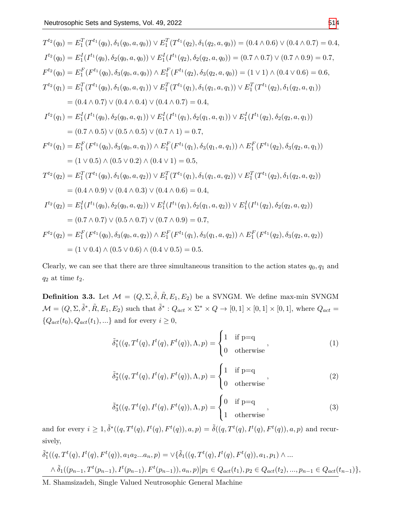$$
T^{t_2}(q_0) = E_1^T(T^{t_1}(q_0), \delta_1(q_0, a, q_0)) \vee E_1^T(T^{t_1}(q_2), \delta_1(q_2, a, q_0)) = (0.4 \wedge 0.6) \vee (0.4 \wedge 0.7) = 0.4,
$$
  
\n
$$
I^{t_2}(q_0) = E_1^I(I^{t_1}(q_0), \delta_2(q_0, a, q_0)) \vee E_1^I(I^{t_1}(q_2), \delta_2(q_2, a, q_0)) = (0.7 \wedge 0.7) \vee (0.7 \wedge 0.9) = 0.7,
$$
  
\n
$$
F^{t_2}(q_0) = E_1^F(F^{t_1}(q_0), \delta_3(q_0, a, q_0)) \wedge E_1^F(F^{t_1}(q_2), \delta_3(q_2, a, q_0)) = (1 \vee 1) \wedge (0.4 \vee 0.6) = 0.6,
$$
  
\n
$$
T^{t_2}(q_1) = E_1^T(T^{t_1}(q_0), \delta_1(q_0, a, q_1)) \vee E_1^T(T^{t_1}(q_1), \delta_1(q_1, a, q_1)) \vee E_1^T(T^{t_1}(q_2), \delta_1(q_2, a, q_1))
$$
  
\n
$$
= (0.4 \wedge 0.7) \vee (0.4 \wedge 0.4) \vee (0.4 \wedge 0.7) = 0.4,
$$
  
\n
$$
I^{t_2}(q_1) = E_1^I(I^{t_1}(q_0), \delta_2(q_0, a, q_1)) \vee E_1^I(I^{t_1}(q_1), \delta_2(q_1, a, q_1)) \vee E_1^I(I^{t_1}(q_2), \delta_2(q_2, a, q_1))
$$
  
\n
$$
= (0.7 \wedge 0.5) \vee (0.5 \wedge 0.5) \vee (0.7 \wedge 1) = 0.7,
$$
  
\n
$$
F^{t_2}(q_1) = E_1^F(F^{t_1}(q_0), \delta_3(q_0, a, q_1)) \wedge E_1^F(F^{t_1}(q_1), \delta_3
$$

Clearly, we can see that there are three simultaneous transition to the action states  $q_0, q_1$  and *q*<sup>2</sup> at time *t*2.

**Definition 3.3.** Let  $\mathcal{M} = (Q, \Sigma, \tilde{\delta}, \tilde{R}, E_1, E_2)$  be a SVNGM. We define max-min SVNGM  $\mathcal{M} = (Q, \Sigma, \tilde{\delta}^*, \tilde{R}, E_1, E_2)$  such that  $\tilde{\delta}^* : Q_{act} \times \Sigma^* \times Q \to [0, 1] \times [0, 1] \times [0, 1]$ , where  $Q_{act} =$  ${Q_{act}(t_0), Q_{act}(t_1), ...}$  and for every  $i \geq 0$ ,

$$
\tilde{\delta}_1^*((q, T^t(q), I^t(q), F^t(q)), \Lambda, p) = \begin{cases} 1 & \text{if } p = q \\ 0 & \text{otherwise} \end{cases},\tag{1}
$$

$$
\tilde{\delta}_2^*((q, T^t(q), I^t(q), F^t(q)), \Lambda, p) = \begin{cases} 1 & \text{if } p = q \\ 0 & \text{otherwise} \end{cases},\tag{2}
$$

$$
\tilde{\delta}_3^*((q, T^t(q), I^t(q), F^t(q)), \Lambda, p) = \begin{cases} 0 & \text{if } p = q \\ 1 & \text{otherwise} \end{cases},
$$
\n(3)

and for every  $i \geq 1, \tilde{\delta}^*((q, T^t(q), I^t(q), F^t(q)), a, p) = \tilde{\delta}((q, T^t(q), I^t(q), F^t(q)), a, p)$  and recursively,

$$
\tilde{\delta}_1^*((q, T^t(q), I^t(q), F^t(q)), a_1 a_2 ... a_n, p) = \vee \{ \tilde{\delta}_1((q, T^t(q), I^t(q), F^t(q)), a_1, p_1) \wedge ... \wedge \tilde{\delta}_1((p_{n-1}, T^t(p_{n-1}), I^t(p_{n-1}), F^t(p_{n-1})), a_n, p) | p_1 \in Q_{act}(t_1), p_2 \in Q_{act}(t_2), ..., p_{n-1} \in Q_{act}(t_{n-1}) \},
$$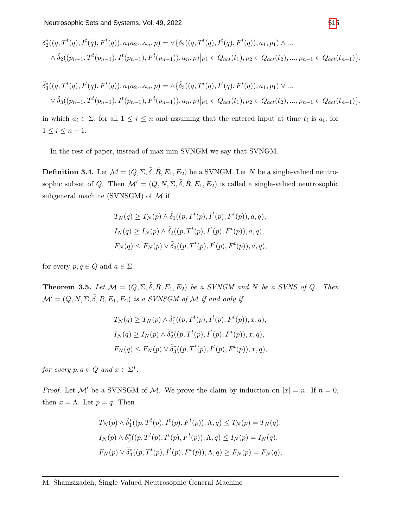$$
\delta_2^*((q, T^t(q), I^t(q), F^t(q)), a_1 a_2 ... a_n, p) = \vee \{ \delta_2((q, T^t(q), I^t(q), F^t(q)), a_1, p_1) \wedge ... \wedge \tilde{\delta}_2((p_{n-1}, T^t(p_{n-1}), I^t(p_{n-1}), F^t(p_{n-1})), a_n, p) | p_1 \in Q_{act}(t_1), p_2 \in Q_{act}(t_2), ..., p_{n-1} \in Q_{act}(t_{n-1}) \},
$$

$$
\tilde{\delta}_3^*((q, T^t(q), I^t(q), F^t(q)), a_1 a_2 ... a_n, p) = \Lambda \{\tilde{\delta}_3((q, T^t(q), I^t(q), F^t(q)), a_1, p_1) \lor ... \n\lor \tilde{\delta}_3((p_{n-1}, T^t(p_{n-1}), I^t(p_{n-1}), F^t(p_{n-1})), a_n, p) | p_1 \in Q_{act}(t_1), p_2 \in Q_{act}(t_2), ..., p_{n-1} \in Q_{act}(t_{n-1})\},
$$

in which  $a_i \in \Sigma$ , for all  $1 \leq i \leq n$  and assuming that the entered input at time  $t_i$  is  $a_i$ , for  $1 ≤ i ≤ n − 1.$ 

In the rest of paper, instead of max-min SVNGM we say that SVNGM.

**Definition 3.4.** Let  $\mathcal{M} = (Q, \Sigma, \tilde{\delta}, \tilde{R}, E_1, E_2)$  be a SVNGM. Let *N* be a single-valued neutrosophic subset of *Q*. Then  $\mathcal{M}' = (Q, N, \Sigma, \tilde{\delta}, R, E_1, E_2)$  is called a single-valued neutrosophic subgeneral machine (SVNSGM) of *M* if

$$
T_N(q) \geq T_N(p) \wedge \tilde{\delta}_1((p, T^t(p), I^t(p), F^t(p)), a, q),
$$
  
\n
$$
I_N(q) \geq I_N(p) \wedge \tilde{\delta}_2((p, T^t(p), I^t(p), F^t(p)), a, q),
$$
  
\n
$$
F_N(q) \leq F_N(p) \vee \tilde{\delta}_3((p, T^t(p), I^t(p), F^t(p)), a, q),
$$

for every  $p, q \in Q$  and  $a \in \Sigma$ .

**Theorem 3.5.** Let  $\mathcal{M} = (Q, \Sigma, \tilde{\delta}, \tilde{R}, E_1, E_2)$  be a SVNGM and N be a SVNS of Q. Then  $\mathcal{M}' = (Q, N, \Sigma, \tilde{\delta}, \tilde{R}, E_1, E_2)$  *is a SVNSGM of*  $\mathcal M$  *if and only if* 

$$
T_N(q) \geq T_N(p) \wedge \tilde{\delta}_1^*((p, T^t(p), I^t(p), F^t(p)), x, q),
$$
  
\n
$$
I_N(q) \geq I_N(p) \wedge \tilde{\delta}_2^*((p, T^t(p), I^t(p), F^t(p)), x, q),
$$
  
\n
$$
F_N(q) \leq F_N(p) \vee \tilde{\delta}_3^*((p, T^t(p), I^t(p), F^t(p)), x, q),
$$

*for every*  $p, q \in Q$  *and*  $x \in \Sigma^*$ .

*Proof.* Let M' be a SVNSGM of M. We prove the claim by induction on  $|x| = n$ . If  $n = 0$ , then  $x = \Lambda$ . Let  $p = q$ . Then

$$
T_N(p) \wedge \tilde{\delta}_1^*((p, T^t(p), I^t(p), F^t(p)), \Lambda, q) \le T_N(p) = T_N(q),
$$
  
\n
$$
I_N(p) \wedge \tilde{\delta}_2^*((p, T^t(p), I^t(p), F^t(p)), \Lambda, q) \le I_N(p) = I_N(q),
$$
  
\n
$$
F_N(p) \vee \tilde{\delta}_3^*((p, T^t(p), I^t(p), F^t(p)), \Lambda, q) \ge F_N(p) = F_N(q),
$$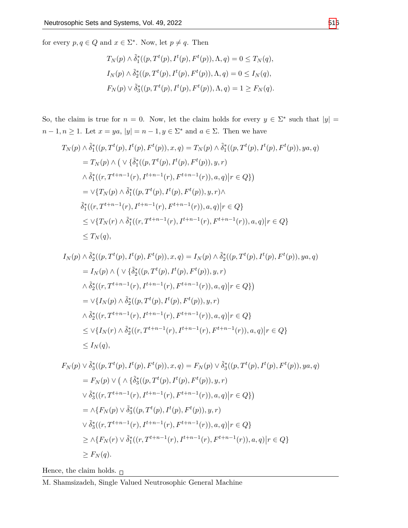for every  $p, q \in Q$  and  $x \in \Sigma^*$ . Now, let  $p \neq q$ . Then

$$
T_N(p) \wedge \tilde{\delta}_1^*(p, T^t(p), I^t(p), F^t(p)), \Lambda, q) = 0 \le T_N(q),
$$
  
\n
$$
I_N(p) \wedge \tilde{\delta}_2^*(p, T^t(p), I^t(p), F^t(p)), \Lambda, q) = 0 \le I_N(q),
$$
  
\n
$$
F_N(p) \vee \tilde{\delta}_3^*(p, T^t(p), I^t(p), F^t(p)), \Lambda, q) = 1 \ge F_N(q).
$$

So, the claim is true for  $n = 0$ . Now, let the claim holds for every  $y \in \Sigma^*$  such that  $|y| =$ *n* − 1, *n* ≥ 1. Let  $x = ya$ ,  $|y| = n - 1$ ,  $y \in \Sigma^*$  and  $a \in \Sigma$ . Then we have

$$
T_N(p) \wedge \tilde{\delta}_1^*((p, T^t(p), F^t(p), F^t(p)), x, q) = T_N(p) \wedge \tilde{\delta}_1^*((p, T^t(p), F^t(p)), ya, q)
$$
  
\n
$$
= T_N(p) \wedge (\vee \{\tilde{\delta}_1^*((p, T^t(p), F^t(p)), y, r)
$$
  
\n
$$
\wedge \tilde{\delta}_1^*((r, T^{t+n-1}(r), I^{t+n-1}(r), F^{t+n-1}(r)), a, q) | r \in Q \})
$$
  
\n
$$
= \vee \{T_N(p) \wedge \tilde{\delta}_1^*((p, T^t(p), I^t(p), F^t(p)), y, r) \wedge
$$
  
\n
$$
\tilde{\delta}_1^*((r, T^{t+n-1}(r), I^{t+n-1}(r), F^{t+n-1}(r)), a, q) | r \in Q \}
$$
  
\n
$$
\leq \vee \{T_N(r) \wedge \tilde{\delta}_1^*((r, T^{t+n-1}(r), I^{t+n-1}(r), F^{t+n-1}(r)), a, q) | r \in Q \}
$$
  
\n
$$
\leq T_N(q),
$$

$$
I_N(p) \wedge \tilde{\delta}_2^*((p, T^t(p), I^t(p), F^t(p)), x, q) = I_N(p) \wedge \tilde{\delta}_2^*((p, T^t(p), I^t(p), F^t(p)), ya, q)
$$
  
\n
$$
= I_N(p) \wedge \left( \vee \{ \tilde{\delta}_2^*((p, T^t(p), I^t(p), F^t(p)), y, r) \right.
$$
  
\n
$$
\wedge \tilde{\delta}_2^*((r, T^{t+n-1}(r), I^{t+n-1}(r), F^{t+n-1}(r)), a, q) | r \in Q \} \right)
$$
  
\n
$$
= \vee \{ I_N(p) \wedge \tilde{\delta}_2^*((p, T^t(p), I^t(p), F^t(p)), y, r) \right.
$$
  
\n
$$
\wedge \tilde{\delta}_2^*((r, T^{t+n-1}(r), I^{t+n-1}(r), F^{t+n-1}(r)), a, q) | r \in Q \}
$$
  
\n
$$
\leq \vee \{ I_N(r) \wedge \tilde{\delta}_2^*((r, T^{t+n-1}(r), I^{t+n-1}(r), F^{t+n-1}(r)), a, q) | r \in Q \}
$$
  
\n
$$
\leq I_N(q),
$$

$$
F_N(p) \vee \tilde{\delta}_3^*(p, T^t(p), I^t(p), F^t(p)), x, q) = F_N(p) \vee \tilde{\delta}_3^*(p, T^t(p), I^t(p), F^t(p)), ya, q)
$$
  
\n
$$
= F_N(p) \vee \left( \wedge \{ \tilde{\delta}_3^*(p, T^t(p), I^t(p), F^t(p)), y, r \right)
$$
  
\n
$$
\vee \tilde{\delta}_3^*((r, T^{t+n-1}(r), I^{t+n-1}(r), F^{t+n-1}(r)), a, q) | r \in Q \} \right)
$$
  
\n
$$
= \wedge \{ F_N(p) \vee \tilde{\delta}_3^*(p, T^t(p), I^t(p), F^t(p)), y, r \}
$$
  
\n
$$
\vee \tilde{\delta}_3^*((r, T^{t+n-1}(r), I^{t+n-1}(r), F^{t+n-1}(r)), a, q) | r \in Q \}
$$
  
\n
$$
\geq \wedge \{ F_N(r) \vee \tilde{\delta}_1^*((r, T^{t+n-1}(r), I^{t+n-1}(r), F^{t+n-1}(r)), a, q) | r \in Q \}
$$
  
\n
$$
\geq F_N(q).
$$

Hence, the claim holds.  $_\Box$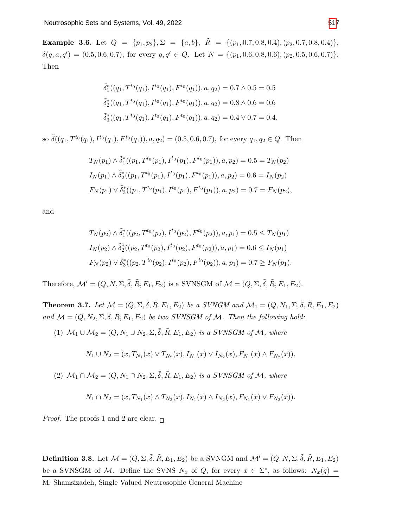<span id="page-8-0"></span>**Example 3.6.** Let  $Q = \{p_1, p_2\}, \Sigma = \{a, b\}, \tilde{R} = \{(p_1, 0.7, 0.8, 0.4), (p_2, 0.7, 0.8, 0.4)\},\$  $\delta(q, a, q') = (0.5, 0.6, 0.7),$  for every  $q, q' \in Q$ . Let  $N = \{(p_1, 0.6, 0.8, 0.6), (p_2, 0.5, 0.6, 0.7)\}.$ Then

$$
\tilde{\delta}_1^*((q_1, T^{t_0}(q_1), I^{t_0}(q_1), F^{t_0}(q_1)), a, q_2) = 0.7 \wedge 0.5 = 0.5
$$
  

$$
\tilde{\delta}_2^*((q_1, T^{t_0}(q_1), I^{t_0}(q_1), F^{t_0}(q_1)), a, q_2) = 0.8 \wedge 0.6 = 0.6
$$
  

$$
\tilde{\delta}_3^*((q_1, T^{t_0}(q_1), I^{t_0}(q_1), F^{t_0}(q_1)), a, q_2) = 0.4 \vee 0.7 = 0.4,
$$

so  $\tilde{\delta}((q_1, T^{t_0}(q_1), I^{t_0}(q_1), F^{t_0}(q_1)), a, q_2) = (0.5, 0.6, 0.7),$  for every  $q_1, q_2 \in Q$ . Then

$$
T_N(p_1) \wedge \tilde{\delta}_1^*((p_1, T^{t_0}(p_1), I^{t_0}(p_1), F^{t_0}(p_1)), a, p_2) = 0.5 = T_N(p_2)
$$
  
\n
$$
I_N(p_1) \wedge \tilde{\delta}_2^*((p_1, T^{t_0}(p_1), I^{t_0}(p_1), F^{t_0}(p_1)), a, p_2) = 0.6 = I_N(p_2)
$$
  
\n
$$
F_N(p_1) \vee \tilde{\delta}_3^*((p_1, T^{t_0}(p_1), I^{t_0}(p_1), F^{t_0}(p_1)), a, p_2) = 0.7 = F_N(p_2),
$$

and

$$
T_N(p_2) \wedge \tilde{\delta}_1^*((p_2, T^{t_0}(p_2), I^{t_0}(p_2), F^{t_0}(p_2)), a, p_1) = 0.5 \le T_N(p_1)
$$
  
\n
$$
I_N(p_2) \wedge \tilde{\delta}_2^*((p_2, T^{t_0}(p_2), I^{t_0}(p_2), F^{t_0}(p_2)), a, p_1) = 0.6 \le I_N(p_1)
$$
  
\n
$$
F_N(p_2) \vee \tilde{\delta}_3^*((p_2, T^{t_0}(p_2), I^{t_0}(p_2), F^{t_0}(p_2)), a, p_1) = 0.7 \ge F_N(p_1).
$$

Therefore,  $\mathcal{M}' = (Q, N, \Sigma, \tilde{\delta}, \tilde{R}, E_1, E_2)$  is a SVNSGM of  $\mathcal{M} = (Q, \Sigma, \tilde{\delta}, \tilde{R}, E_1, E_2)$ .

**Theorem 3.7.** Let  $\mathcal{M} = (Q, \Sigma, \tilde{\delta}, \tilde{R}, E_1, E_2)$  be a SVNGM and  $\mathcal{M}_1 = (Q, N_1, \Sigma, \tilde{\delta}, \tilde{R}, E_1, E_2)$  $and \mathcal{M} = (Q, N_2, \Sigma, \tilde{\delta}, \tilde{R}, E_1, E_2)$  *be two SVNSGM of M. Then the following hold:* 

(1)  $M_1$  ∪  $M_2$  =  $(Q, N_1$  ∪  $N_2, \Sigma, \tilde{\delta}, \tilde{R}, E_1, E_2)$  *is a SVNSGM of M, where* 

$$
N_1 \cup N_2 = (x, T_{N_1}(x) \vee T_{N_2}(x), I_{N_1}(x) \vee I_{N_2}(x), F_{N_1}(x) \wedge F_{N_2}(x)),
$$

 $(2)$   $\mathcal{M}_1 \cap \mathcal{M}_2 = (Q, N_1 \cap N_2, \Sigma, \tilde{\delta}, \tilde{R}, E_1, E_2)$  *is a SVNSGM of*  $\mathcal{M},$  where

$$
N_1 \cap N_2 = (x, T_{N_1}(x) \land T_{N_2}(x), I_{N_1}(x) \land I_{N_2}(x), F_{N_1}(x) \lor F_{N_2}(x)).
$$

*Proof.* The proofs 1 and 2 are clear.  $\Box$ 

**Definition 3.8.** Let  $\mathcal{M} = (Q, \Sigma, \tilde{\delta}, \tilde{R}, E_1, E_2)$  be a SVNGM and  $\mathcal{M}' = (Q, N, \Sigma, \tilde{\delta}, \tilde{R}, E_1, E_2)$ be a SVNSGM of *M*. Define the SVNS  $N_x$  of  $Q$ , for every  $x \in \Sigma^*$ , as follows:  $N_x(q) =$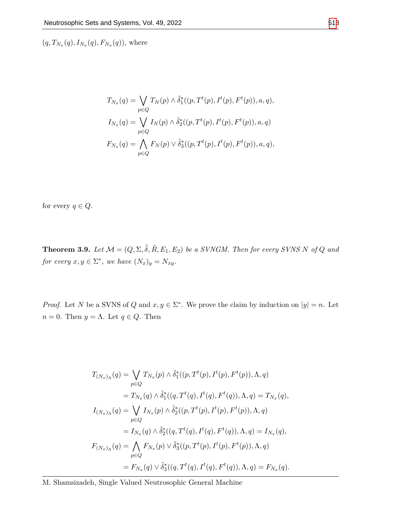$(q, T_{N_x}(q), I_{N_x}(q), F_{N_x}(q)),$  where

$$
T_{N_x}(q) = \bigvee_{p \in Q} T_N(p) \wedge \tilde{\delta}_1^*((p, T^t(p), I^t(p), F^t(p)), a, q),
$$
  
\n
$$
I_{N_x}(q) = \bigvee_{p \in Q} I_N(p) \wedge \tilde{\delta}_2^*((p, T^t(p), I^t(p), F^t(p)), a, q)
$$
  
\n
$$
F_{N_x}(q) = \bigwedge_{p \in Q} F_N(p) \vee \tilde{\delta}_3^*((p, T^t(p), I^t(p), F^t(p)), a, q),
$$

for every  $q \in Q$ .

**Theorem 3.9.** Let  $\mathcal{M} = (Q, \Sigma, \tilde{\delta}, \tilde{R}, E_1, E_2)$  be a SVNGM. Then for every SVNS N of Q and *for every*  $x, y \in \Sigma^*$ , we have  $(N_x)_y = N_{xy}$ .

*Proof.* Let *N* be a SVNS of *Q* and  $x, y \in \Sigma^*$ . We prove the claim by induction on  $|y| = n$ . Let *n* = 0. Then *y* = Λ. Let *q* ∈ *Q*. Then

$$
T_{(N_x)_{\Lambda}}(q) = \bigvee_{p \in Q} T_{N_x}(p) \wedge \tilde{\delta}_1^*((p, T^t(p), I^t(p), F^t(p)), \Lambda, q)
$$
  
\n
$$
= T_{N_x}(q) \wedge \tilde{\delta}_1^*((q, T^t(q), I^t(q), F^t(q)), \Lambda, q) = T_{N_x}(q),
$$
  
\n
$$
I_{(N_x)_{\Lambda}}(q) = \bigvee_{p \in Q} I_{N_x}(p) \wedge \tilde{\delta}_2^*((p, T^t(p), I^t(p), F^t(p)), \Lambda, q)
$$
  
\n
$$
= I_{N_x}(q) \wedge \tilde{\delta}_2^*((q, T^t(q), I^t(q), F^t(q)), \Lambda, q) = I_{N_x}(q),
$$
  
\n
$$
F_{(N_x)_{\Lambda}}(q) = \bigwedge_{p \in Q} F_{N_x}(p) \vee \tilde{\delta}_3^*((p, T^t(p), I^t(p), F^t(p)), \Lambda, q)
$$
  
\n
$$
= F_{N_x}(q) \vee \tilde{\delta}_3^*((q, T^t(q), I^t(q), F^t(q)), \Lambda, q) = F_{N_x}(q).
$$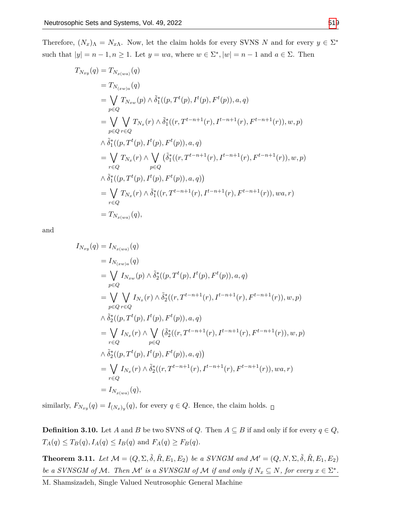Therefore,  $(N_x)$ <sub> $\Lambda$ </sub> =  $N_{x\Lambda}$ . Now, let the claim holds for every SVNS *N* and for every  $y \in \Sigma^*$ such that  $|y|=n-1, n\geq 1$ . Let  $y=wa$ , where  $w\in\Sigma^*$ ,  $|w|=n-1$  and  $a\in\Sigma$ . Then

$$
T_{N_{xy}}(q) = T_{N_{x(wa)}}(q)
$$
  
\n
$$
= T_{N_{(xw)a}}(q)
$$
  
\n
$$
= \bigvee_{p \in Q} T_{N_{xw}}(p) \wedge \tilde{\delta}_{1}^{*}((p, T^{t}(p), I^{t}(p), F^{t}(p)), a, q)
$$
  
\n
$$
= \bigvee_{p \in Q} \bigvee_{r \in Q} T_{N_{x}}(r) \wedge \tilde{\delta}_{1}^{*}((r, T^{t-n+1}(r), I^{t-n+1}(r), F^{t-n+1}(r)), w, p)
$$
  
\n
$$
\wedge \tilde{\delta}_{1}^{*}((p, T^{t}(p), I^{t}(p), F^{t}(p)), a, q)
$$
  
\n
$$
= \bigvee_{r \in Q} T_{N_{x}}(r) \wedge \bigvee_{p \in Q} (\tilde{\delta}_{1}^{*}((r, T^{t-n+1}(r), I^{t-n+1}(r), F^{t-n+1}(r)), w, p)
$$
  
\n
$$
\wedge \tilde{\delta}_{1}^{*}((p, T^{t}(p), I^{t}(p), F^{t}(p)), a, q))
$$
  
\n
$$
= \bigvee_{r \in Q} T_{N_{x}}(r) \wedge \tilde{\delta}_{1}^{*}((r, T^{t-n+1}(r), I^{t-n+1}(r), F^{t-n+1}(r)), wa, r)
$$
  
\n
$$
= T_{N_{x(wa)}}(q),
$$

and

$$
I_{N_{xy}}(q) = I_{N_{x(wa)}}(q)
$$
  
\n
$$
= I_{N_{(xw)a}}(q)
$$
  
\n
$$
= \bigvee_{p \in Q} I_{N_{xw}}(p) \wedge \tilde{\delta}_{2}^{*}((p, T^{t}(p), I^{t}(p), F^{t}(p)), a, q)
$$
  
\n
$$
= \bigvee_{p \in Q} \bigvee_{r \in Q} I_{N_{x}}(r) \wedge \tilde{\delta}_{2}^{*}((r, T^{t-n+1}(r), I^{t-n+1}(r), F^{t-n+1}(r)), w, p)
$$
  
\n
$$
\wedge \tilde{\delta}_{2}^{*}((p, T^{t}(p), I^{t}(p), F^{t}(p)), a, q)
$$
  
\n
$$
= \bigvee_{r \in Q} I_{N_{x}}(r) \wedge \bigvee_{p \in Q} (\tilde{\delta}_{2}^{*}((r, T^{t-n+1}(r), I^{t-n+1}(r), F^{t-n+1}(r)), w, p)
$$
  
\n
$$
\wedge \tilde{\delta}_{2}^{*}((p, T^{t}(p), I^{t}(p), F^{t}(p)), a, q))
$$
  
\n
$$
= \bigvee_{r \in Q} I_{N_{x}}(r) \wedge \tilde{\delta}_{2}^{*}((r, T^{t-n+1}(r), I^{t-n+1}(r), F^{t-n+1}(r)), wa, r)
$$
  
\n
$$
= I_{N_{x(wa)}}(q),
$$

similarly,  $F_{N_{xy}}(q) = I_{(N_x)y}(q)$ , for every  $q \in Q$ . Hence, the claim holds.

**Definition 3.10.** Let *A* and *B* be two SVNS of *Q*. Then  $A \subseteq B$  if and only if for every  $q \in Q$ ,  $T_A(q) \le T_B(q), I_A(q) \le I_B(q)$  and  $F_A(q) \ge F_B(q)$ .

<span id="page-10-0"></span>**Theorem 3.11.** Let  $\mathcal{M} = (Q, \Sigma, \tilde{\delta}, \tilde{R}, E_1, E_2)$  be a SVNGM and  $\mathcal{M}' = (Q, N, \Sigma, \tilde{\delta}, \tilde{R}, E_1, E_2)$ *be a SVNSGM of M*. Then *M' is a SVNSGM of M if and only if*  $N_x \subseteq N$ *, for every*  $x \in \Sigma^*$ .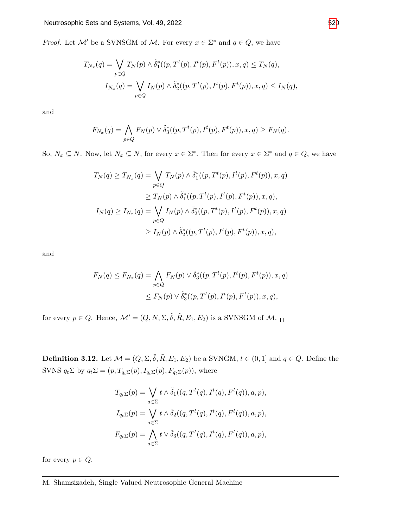*Proof.* Let  $\mathcal{M}'$  be a SVNSGM of  $\mathcal{M}$ . For every  $x \in \Sigma^*$  and  $q \in Q$ , we have

$$
T_{N_x}(q) = \bigvee_{p \in Q} T_N(p) \wedge \tilde{\delta}_1^*((p, T^t(p), I^t(p), F^t(p)), x, q) \le T_N(q),
$$
  

$$
I_{N_x}(q) = \bigvee_{p \in Q} I_N(p) \wedge \tilde{\delta}_2^*((p, T^t(p), I^t(p), F^t(p)), x, q) \le I_N(q),
$$

and

$$
F_{N_x}(q) = \bigwedge_{p \in Q} F_N(p) \vee \tilde{\delta}_3^*((p, T^t(p), I^t(p), F^t(p)), x, q) \ge F_N(q).
$$

So,  $N_x \subseteq N$ . Now, let  $N_x \subseteq N$ , for every  $x \in \Sigma^*$ . Then for every  $x \in \Sigma^*$  and  $q \in Q$ , we have

$$
T_N(q) \ge T_{N_x}(q) = \bigvee_{p \in Q} T_N(p) \wedge \tilde{\delta}_1^*((p, T^t(p), I^t(p), F^t(p)), x, q)
$$
  
\n
$$
\ge T_N(p) \wedge \tilde{\delta}_1^*((p, T^t(p), I^t(p), F^t(p)), x, q),
$$
  
\n
$$
I_N(q) \ge I_{N_x}(q) = \bigvee_{p \in Q} I_N(p) \wedge \tilde{\delta}_2^*((p, T^t(p), I^t(p), F^t(p)), x, q)
$$
  
\n
$$
\ge I_N(p) \wedge \tilde{\delta}_2^*((p, T^t(p), I^t(p), F^t(p)), x, q),
$$

and

$$
F_N(q) \le F_{N_x}(q) = \bigwedge_{p \in Q} F_N(p) \vee \tilde{\delta}_3^*((p, T^t(p), I^t(p), F^t(p)), x, q)
$$
  

$$
\le F_N(p) \vee \tilde{\delta}_3^*((p, T^t(p), I^t(p), F^t(p)), x, q),
$$

for every  $p \in Q$ . Hence,  $\mathcal{M}' = (Q, N, \Sigma, \tilde{\delta}, \tilde{R}, E_1, E_2)$  is a SVNSGM of  $\mathcal{M}$ .

**Definition 3.12.** Let  $\mathcal{M} = (Q, \Sigma, \tilde{\delta}, \tilde{R}, E_1, E_2)$  be a SVNGM,  $t \in (0, 1]$  and  $q \in Q$ . Define the SVNS  $q_t \Sigma$  by  $q_t \Sigma = (p, T_{q_t \Sigma}(p), I_{q_t \Sigma}(p), F_{q_t \Sigma}(p))$ , where

$$
T_{q_t\Sigma}(p) = \bigvee_{a \in \Sigma} t \wedge \tilde{\delta}_1((q, T^t(q), I^t(q), F^t(q)), a, p),
$$
  
\n
$$
I_{q_t\Sigma}(p) = \bigvee_{a \in \Sigma} t \wedge \tilde{\delta}_2((q, T^t(q), I^t(q), F^t(q)), a, p),
$$
  
\n
$$
F_{q_t\Sigma}(p) = \bigwedge_{a \in \Sigma} t \vee \tilde{\delta}_3((q, T^t(q), I^t(q), F^t(q)), a, p),
$$

for every  $p \in Q$ .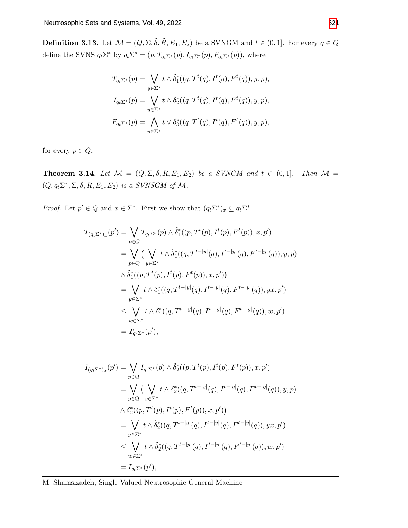**Definition 3.13.** Let  $\mathcal{M} = (Q, \Sigma, \tilde{\delta}, \tilde{R}, E_1, E_2)$  be a SVNGM and  $t \in (0, 1]$ . For every  $q \in Q$ define the SVNS  $q_t \Sigma^*$  by  $q_t \Sigma^* = (p, T_{q_t \Sigma^*}(p), I_{q_t \Sigma^*}(p), F_{q_t \Sigma^*}(p))$ , where

$$
T_{q_t \Sigma^*}(p) = \bigvee_{y \in \Sigma^*} t \wedge \tilde{\delta}_1^*((q, T^t(q), I^t(q), F^t(q)), y, p),
$$
  
\n
$$
I_{q_t \Sigma^*}(p) = \bigvee_{y \in \Sigma^*} t \wedge \tilde{\delta}_2^*((q, T^t(q), I^t(q), F^t(q)), y, p),
$$
  
\n
$$
F_{q_t \Sigma^*}(p) = \bigwedge_{y \in \Sigma^*} t \vee \tilde{\delta}_3^*((q, T^t(q), I^t(q), F^t(q)), y, p),
$$

for every  $p \in Q$ .

**Theorem 3.14.** Let  $\mathcal{M} = (Q, \Sigma, \tilde{\delta}, \tilde{R}, E_1, E_2)$  be a SVNGM and  $t \in (0, 1]$ . Then  $\mathcal{M} =$  $(Q, q_t \Sigma^*, \Sigma, \tilde{\delta}, \tilde{R}, E_1, E_2)$  *is a SVNSGM of M*.

*Proof.* Let  $p' \in Q$  and  $x \in \Sigma^*$ . First we show that  $(q_t \Sigma^*)_x \subseteq q_t \Sigma^*$ .

$$
T_{(q_t\Sigma^*)_x}(p') = \bigvee_{p \in Q} T_{q_t\Sigma^*}(p) \wedge \tilde{\delta}_1^*((p, T^t(p), I^t(p), F^t(p)), x, p')
$$
  
\n
$$
= \bigvee_{p \in Q} (\bigvee_{y \in \Sigma^*} t \wedge \tilde{\delta}_1^*((q, T^{t-|y|}(q), I^{t-|y|}(q), F^{t-|y|}(q)), y, p)
$$
  
\n
$$
\wedge \tilde{\delta}_1^*((p, T^t(p), I^t(p), F^t(p)), x, p'))
$$
  
\n
$$
= \bigvee_{y \in \Sigma^*} t \wedge \tilde{\delta}_1^*((q, T^{t-|y|}(q), I^{t-|y|}(q), F^{t-|y|}(q)), yx, p')
$$
  
\n
$$
\leq \bigvee_{w \in \Sigma^*} t \wedge \tilde{\delta}_1^*((q, T^{t-|y|}(q), I^{t-|y|}(q), F^{t-|y|}(q)), w, p')
$$
  
\n
$$
= T_{q_t\Sigma^*}(p'),
$$

$$
I_{(q_t \Sigma^*)x}(p') = \bigvee_{p \in Q} I_{q_t \Sigma^*}(p) \wedge \tilde{\delta}_2^*((p, T^t(p), I^t(p), F^t(p)), x, p')
$$
  
\n
$$
= \bigvee_{p \in Q} (\bigvee_{y \in \Sigma^*} t \wedge \tilde{\delta}_2^*((q, T^{t-|y|}(q), I^{t-|y|}(q), F^{t-|y|}(q)), y, p)
$$
  
\n
$$
\wedge \tilde{\delta}_2^*((p, T^t(p), I^t(p), F^t(p)), x, p'))
$$
  
\n
$$
= \bigvee_{y \in \Sigma^*} t \wedge \tilde{\delta}_2^*((q, T^{t-|y|}(q), I^{t-|y|}(q), F^{t-|y|}(q)), yx, p')
$$
  
\n
$$
\leq \bigvee_{w \in \Sigma^*} t \wedge \tilde{\delta}_2^*((q, T^{t-|y|}(q), I^{t-|y|}(q), F^{t-|y|}(q)), w, p')
$$

M. Shamsizadeh, Single Valued Neutrosophic General Machine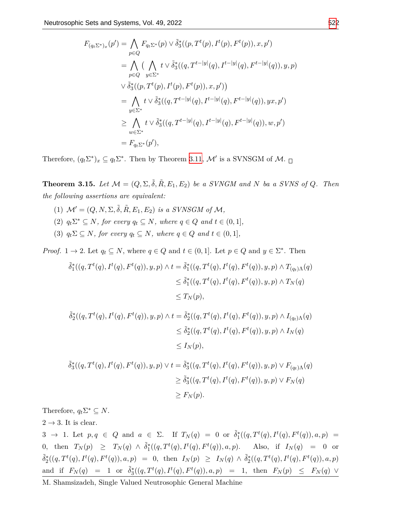$$
F_{(q_t \Sigma^*)x}(p') = \bigwedge_{p \in Q} F_{q_t \Sigma^*}(p) \vee \tilde{\delta}^*_3((p, T^t(p), I^t(p), F^t(p)), x, p')
$$
  
\n
$$
= \bigwedge_{p \in Q} (\bigwedge_{y \in \Sigma^*} t \vee \tilde{\delta}^*_3((q, T^{t-|y|}(q), I^{t-|y|}(q), F^{t-|y|}(q)), y, p)
$$
  
\n
$$
\vee \tilde{\delta}^*_3((p, T^t(p), I^t(p), F^t(p)), x, p'))
$$
  
\n
$$
= \bigwedge_{y \in \Sigma^*} t \vee \tilde{\delta}^*_3((q, T^{t-|y|}(q), I^{t-|y|}(q), F^{t-|y|}(q)), yx, p')
$$
  
\n
$$
\geq \bigwedge_{w \in \Sigma^*} t \vee \tilde{\delta}^*_3((q, T^{t-|y|}(q), I^{t-|y|}(q), F^{t-|y|}(q)), w, p')
$$
  
\n
$$
= F_{q_t \Sigma^*}(p'),
$$

Therefore,  $(q_t \Sigma^*)_x \subseteq q_t \Sigma^*$ . Then by Theorem [3.11](#page-10-0), M' is a SVNSGM of M.

**Theorem 3.15.** Let  $\mathcal{M} = (Q, \Sigma, \tilde{\delta}, \tilde{R}, E_1, E_2)$  be a SVNGM and N ba a SVNS of Q. Then *the following assertions are equivalent:*

- (1)  $\mathcal{M}' = (Q, N, \Sigma, \tilde{\delta}, \tilde{R}, E_1, E_2)$  *is a SVNSGM of*  $\mathcal{M},$  $(2)$   $q_t \Sigma^* \subseteq N$ *, for every*  $q_t \subseteq N$ *, where*  $q \in Q$  *and*  $t \in (0,1]$ *,*
- (3)  $q_t \Sigma \subseteq N$ *, for every*  $q_t \subseteq N$ *, where*  $q \in Q$  *and*  $t \in (0,1]$ *,*

*Proof.* 1  $\rightarrow$  2*.* Let  $q_t \subseteq N$ , where  $q \in Q$  and  $t \in (0,1]$ . Let  $p \in Q$  and  $y \in \Sigma^*$ . Then

$$
\begin{aligned} \tilde{\delta}_1^*((q, T^t(q), I^t(q), F^t(q)), y, p) \wedge t &= \tilde{\delta}_1^*((q, T^t(q), I^t(q), F^t(q)), y, p) \wedge T_{(q_t)\Lambda}(q) \\ &\leq \tilde{\delta}_1^*((q, T^t(q), I^t(q), F^t(q)), y, p) \wedge T_N(q) \\ &\leq T_N(p), \end{aligned}
$$

$$
\begin{aligned} \tilde{\delta}_2^*((q, T^t(q), I^t(q), F^t(q)), y, p) \wedge t &= \tilde{\delta}_2^*((q, T^t(q), I^t(q), F^t(q)), y, p) \wedge I_{(q_t)\Lambda}(q) \\ &\le \tilde{\delta}_2^*((q, T^t(q), I^t(q), F^t(q)), y, p) \wedge I_N(q) \\ &\le I_N(p), \end{aligned}
$$

$$
\begin{aligned} \tilde{\delta}_3^*((q, T^t(q), I^t(q), F^t(q)), y, p) \vee t &= \tilde{\delta}_3^*((q, T^t(q), I^t(q), F^t(q)), y, p) \vee F_{(q_t)\Lambda}(q) \\ &\geq \tilde{\delta}_3^*((q, T^t(q), I^t(q), F^t(q)), y, p) \vee F_N(q) \\ &\geq F_N(p). \end{aligned}
$$

Therefore,  $q_t \Sigma^* \subseteq N$ .

 $2 \rightarrow 3$ . It is clear.

3  $\rightarrow$  1. Let  $p, q \in Q$  and  $a \in \Sigma$ . If  $T_N(q) = 0$  or  $\tilde{\delta}_1^*((q, T^t(q), I^t(q), F^t(q)), a, p) =$ 0, then  $T_N(p) \geq T_N(q) \wedge \tilde{\delta}_1^*((q, T^t(q), I^t(q), F^t(q)), a, p)$ . Also, if  $I_N(q) = 0$  or  $\tilde{\delta}_2^*((q,T^t(q),I^t(q),F^t(q)),a,p) = 0$ , then  $I_N(p) \geq I_N(q) \wedge \tilde{\delta}_2^*((q,T^t(q),I^t(q),F^t(q)),a,p)$ and if  $F_N(q) = 1$  or  $\tilde{\delta}_3^*((q, T^t(q), I^t(q), F^t(q)), a, p) = 1$ , then  $F_N(p) \leq F_N(q) \vee$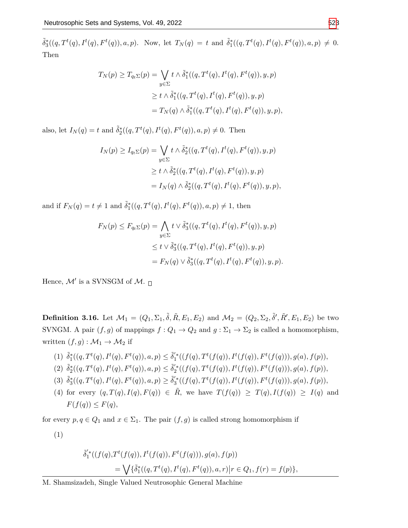$\tilde{\delta}_3^*((q,T^t(q),I^t(q),F^t(q)),a,p).$  Now, let  $T_N(q) = t$  and  $\tilde{\delta}_1^*((q,T^t(q),I^t(q),F^t(q)),a,p) \neq 0.$ Then

$$
T_N(p) \ge T_{q_t \Sigma}(p) = \bigvee_{y \in \Sigma} t \wedge \tilde{\delta}_1^*((q, T^t(q), I^t(q), F^t(q)), y, p)
$$
  
\n
$$
\ge t \wedge \tilde{\delta}_1^*((q, T^t(q), I^t(q), F^t(q)), y, p)
$$
  
\n
$$
= T_N(q) \wedge \tilde{\delta}_1^*((q, T^t(q), I^t(q), F^t(q)), y, p),
$$

also, let  $I_N(q) = t$  and  $\tilde{\delta}_2^*((q, T^t(q), I^t(q), F^t(q)), a, p) \neq 0$ . Then

$$
I_N(p) \ge I_{q_t\Sigma}(p) = \bigvee_{y \in \Sigma} t \wedge \tilde{\delta}_2^*((q, T^t(q), I^t(q), F^t(q)), y, p)
$$
  
\n
$$
\ge t \wedge \tilde{\delta}_2^*((q, T^t(q), I^t(q), F^t(q)), y, p)
$$
  
\n
$$
= I_N(q) \wedge \tilde{\delta}_2^*((q, T^t(q), I^t(q), F^t(q)), y, p),
$$

and if  $F_N(q) = t \neq 1$  and  $\tilde{\delta}_1^*(q, T^t(q), I^t(q), F^t(q)), a, p) \neq 1$ , then

$$
F_N(p) \le F_{q_t \Sigma}(p) = \bigwedge_{y \in \Sigma} t \vee \tilde{\delta}_3^*((q, T^t(q), I^t(q), F^t(q)), y, p)
$$
  

$$
\le t \vee \tilde{\delta}_3^*((q, T^t(q), I^t(q), F^t(q)), y, p)
$$
  

$$
= F_N(q) \vee \tilde{\delta}_3^*((q, T^t(q), I^t(q), F^t(q)), y, p).
$$

Hence, *M′* is a SVNSGM of *M*.

**Definition 3.16.** Let  $M_1 = (Q_1, \Sigma_1, \tilde{\delta}, R, E_1, E_2)$  and  $M_2 = (Q_2, \Sigma_2, \tilde{\delta}', R, E_1, E_2)$  be two SVNGM. A pair  $(f, g)$  of mappings  $f: Q_1 \to Q_2$  and  $g: \Sigma_1 \to \Sigma_2$  is called a homomorphism, written  $(f, g) : \mathcal{M}_1 \to \mathcal{M}_2$  if

$$
(1) \ \tilde{\delta}^*_1((q, T^t(q), I^t(q), F^t(q)), a, p) \leq \tilde{\delta}'^*_1((f(q), T^t(f(q)), I^t(f(q)), F^t(f(q))), g(a), f(p)),
$$

- (2)  $\tilde{\delta}_2^*((q, T^t(q), I^t(q), F^t(q)), a, p) \leq \tilde{\delta}_2'^*((f(q), T^t(f(q)), I^t(f(q)), F^t(f(q))), g(a), f(p)),$
- (3)  $\tilde{\delta}_3^*((q, T^t(q), I^t(q), F^t(q)), a, p) \geq \tilde{\delta}_3'^*((f(q), T^t(f(q)), I^t(f(q)), F^t(f(q))), g(a), f(p)),$
- (4) for every  $(q, T(q), I(q), F(q)) \in \tilde{R}$ , we have  $T(f(q)) \geq T(q), I(f(q)) \geq I(q)$  and  $F(f(q)) \leq F(q)$ ,

for every  $p, q \in Q_1$  and  $x \in \Sigma_1$ . The pair  $(f, g)$  is called strong homomorphism if

(1)

$$
\tilde{\delta}'_1^*((f(q), T^t(f(q)), I^t(f(q)), F^t(f(q))), g(a), f(p))
$$
  
=  $\bigvee \{ \tilde{\delta}_1^*((q, T^t(q), I^t(q), F^t(q)), a, r) | r \in Q_1, f(r) = f(p) \},$ 

M. Shamsizadeh, Single Valued Neutrosophic General Machine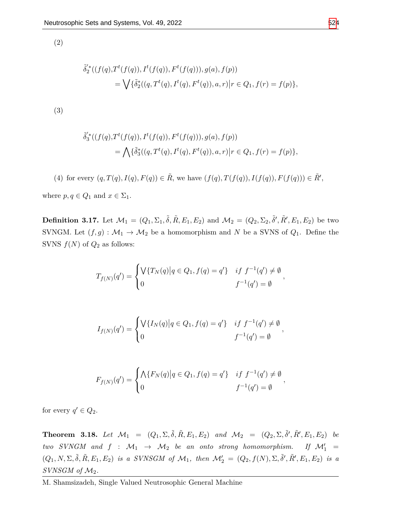(2)

$$
\begin{aligned}\n\tilde{\delta}_2^{\prime\ast}((f(q), T^t(f(q)), I^t(f(q)), F^t(f(q))), g(a), f(p)) \\
&= \bigvee \{ \tilde{\delta}_2^*( (q, T^t(q), I^t(q), F^t(q)), a, r) \big| r \in Q_1, f(r) = f(p) \},\n\end{aligned}
$$

(3)

$$
\tilde{\delta}'_3^*((f(q), T^t(f(q)), I^t(f(q)), F^t(f(q))), g(a), f(p))
$$
  
=  $\bigwedge \{ \tilde{\delta}_3^*((q, T^t(q), I^t(q), F^t(q)), a, r) | r \in Q_1, f(r) = f(p) \},$ 

(4) for every  $(q, T(q), I(q), F(q)) \in \tilde{R}$ , we have  $(f(q), T(f(q)), I(f(q)), F(f(q))) \in \tilde{R}'$ ,

where  $p, q \in Q_1$  and  $x \in \Sigma_1$ .

**Definition 3.17.** Let  $M_1 = (Q_1, \Sigma_1, \tilde{\delta}, R, E_1, E_2)$  and  $M_2 = (Q_2, \Sigma_2, \tilde{\delta}', R, E_1, E_2)$  be two SVNGM. Let  $(f, g) : \mathcal{M}_1 \to \mathcal{M}_2$  be a homomorphism and *N* be a SVNS of  $Q_1$ . Define the SVNS  $f(N)$  of  $Q_2$  as follows:

$$
T_{f(N)}(q') = \begin{cases} \sqrt{\{T_N(q) \ | \ q \in Q_1, f(q) = q'\} & \text{if } f^{-1}(q') \neq \emptyset \\ 0 & f^{-1}(q') = \emptyset \end{cases},
$$

$$
I_{f(N)}(q') = \begin{cases} \sqrt{\{I_N(q) \ | q \in Q_1, f(q) = q'\} & \text{if } f^{-1}(q') \neq \emptyset \\ 0 & f^{-1}(q') = \emptyset \end{cases}
$$

*,*

$$
F_{f(N)}(q') = \begin{cases} \bigwedge \{ F_N(q) \big| q \in Q_1, f(q) = q' \} & \text{if } f^{-1}(q') \neq \emptyset \\ 0 & f^{-1}(q') = \emptyset \end{cases}
$$

for every  $q' \in Q_2$ .

<span id="page-15-0"></span>**Theorem 3.18.** Let  $\mathcal{M}_1 = (Q_1, \Sigma, \tilde{\delta}, \tilde{R}, E_1, E_2)$  and  $\mathcal{M}_2 = (Q_2, \Sigma, \tilde{\delta}', \tilde{R}', E_1, E_2)$  be *two SVNGM and*  $f : \mathcal{M}_1 \rightarrow \mathcal{M}_2$  *be an onto strong homomorphism.* If  $\mathcal{M}'_1$  =  $(Q_1, N, \Sigma, \tilde{\delta}, \tilde{R}, E_1, E_2)$  is a SVNSGM of  $\mathcal{M}_1$ , then  $\mathcal{M}'_2 = (Q_2, f(N), \Sigma, \tilde{\delta}', \tilde{R}', E_1, E_2)$  is a *SVNSGM of M*2*.*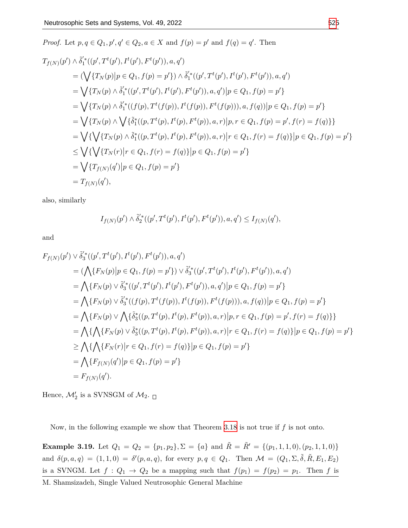Proof. Let 
$$
p, q \in Q_1, p', q' \in Q_2, a \in X
$$
 and  $f(p) = p'$  and  $f(q) = q'$ . Then  
\n
$$
T_{f(N)}(p') \wedge \tilde{\delta}_1^*(p', T^t(p'), I^t(p'), F^t(p')), a, q')
$$
\n
$$
= (\sqrt{\{T_N(p)|p \in Q_1, f(p) = p'\}}) \wedge \tilde{\delta}_1^*(p', T^t(p'), I^t(p'), F^t(p')), a, q')
$$
\n
$$
= \sqrt{\{T_N(p) \wedge \tilde{\delta}_1^*(p', T^t(p'), I^t(p'), F^t(p')), a, q')|p \in Q_1, f(p) = p'\}}
$$
\n
$$
= \sqrt{\{T_N(p) \wedge \tilde{\delta}_1^*(f(p), T^t(f(p)), I^t(f(p)), F^t(f(p))), a, f(q))|p \in Q_1, f(p) = p'\}}
$$
\n
$$
= \sqrt{\{T_N(p) \wedge \sqrt{\{\tilde{\delta}_1^*(p, T^t(p), I^t(p), F^t(p)), a, r\}|p, r \in Q_1, f(p) = p', f(r) = f(q)\}}
$$
\n
$$
= \sqrt{\{\sqrt{\{T_N(p) \wedge \tilde{\delta}_1^*(p, T^t(p), I^t(p), F^t(p)), a, r\}|r \in Q_1, f(r) = f(q)\}}|p \in Q_1, f(p) = p' \}
$$
\n
$$
\leq \sqrt{\{\sqrt{\{T_N(r)|r \in Q_1, f(r) = f(q)\}|p \in Q_1, f(p) = p'\}}
$$
\n
$$
= \sqrt{\{T_{f(N)}(q')|p \in Q_1, f(p) = p'\}}
$$
\n
$$
= T_{f(N)}(q'),
$$

also, similarly

$$
I_{f(N)}(p') \wedge \tilde{\delta}'_2^*((p', T^t(p'), I^t(p'), F^t(p')), a, q') \leq I_{f(N)}(q'),
$$

and

$$
F_{f(N)}(p') \vee \tilde{\delta}'_{3}^{*}((p', T^{t}(p'), I^{t}(p'), F^{t}(p')), a, q')
$$
  
=  $(\bigwedge \{F_{N}(p)|p \in Q_{1}, f(p) = p'\}) \vee \tilde{\delta}'_{3}^{*}((p', T^{t}(p'), I^{t}(p'), F^{t}(p')), a, q')$   
=  $\bigwedge \{F_{N}(p) \vee \tilde{\delta}'_{3}^{*}((p', T^{t}(p'), I^{t}(p'), F^{t}(p')), a, q')|p \in Q_{1}, f(p) = p'\}$   
=  $\bigwedge \{F_{N}(p) \vee \tilde{\delta}'_{3}^{*}((f(p), T^{t}(f(p)), I^{t}(f(p)), F^{t}(f(p))), a, f(q))|p \in Q_{1}, f(p) = p'\}$   
=  $\bigwedge \{F_{N}(p) \vee \bigwedge \{\tilde{\delta}_{3}^{*}((p, T^{t}(p), I^{t}(p), F^{t}(p)), a, r)|p, r \in Q_{1}, f(p) = p', f(r) = f(q)\}\}$   
=  $\bigwedge \{\bigwedge \{F_{N}(p) \vee \tilde{\delta}'_{3}((p, T^{t}(p), I^{t}(p), F^{t}(p)), a, r)|r \in Q_{1}, f(r) = f(q)\}|p \in Q_{1}, f(p) = p'\}$   
 $\geq \bigwedge \{\bigwedge \{F_{N}(r)|r \in Q_{1}, f(r) = f(q)\}|p \in Q_{1}, f(p) = p'\}$   
=  $\bigwedge \{F_{f(N)}(q')|p \in Q_{1}, f(p) = p'\}$   
=  $F_{f(N)}(q').$ 

Hence,  $\mathcal{M}'_2$  is a SVNSGM of  $\mathcal{M}_2$ .

Now, in the following example we show that Theorem [3.18](#page-15-0) is not true if *f* is not onto.

**Example 3.19.** Let  $Q_1 = Q_2 = \{p_1, p_2\}, \Sigma = \{a\}$  and  $\tilde{R} = \tilde{R}' = \{(p_1, 1, 1, 0), (p_2, 1, 1, 0)\}\$ and  $\delta(p, a, q) = (1, 1, 0) = \delta'(p, a, q)$ , for every  $p, q \in Q_1$ . Then  $\mathcal{M} = (Q_1, \Sigma, \tilde{\delta}, R, E_1, E_2)$ is a SVNGM. Let  $f: Q_1 \rightarrow Q_2$  be a mapping such that  $f(p_1) = f(p_2) = p_1$ . Then *f* is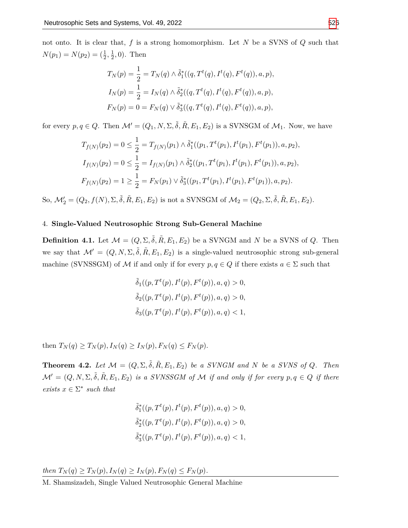not onto. It is clear that, *f* is a strong homomorphism. Let *N* be a SVNS of *Q* such that  $N(p_1) = N(p_2) = (\frac{1}{2}, \frac{1}{2})$  $\frac{1}{2}$ , 0). Then

$$
T_N(p) = \frac{1}{2} = T_N(q) \wedge \tilde{\delta}_1^*((q, T^t(q), I^t(q), F^t(q)), a, p),
$$
  
\n
$$
I_N(p) = \frac{1}{2} = I_N(q) \wedge \tilde{\delta}_2^*((q, T^t(q), I^t(q), F^t(q)), a, p),
$$
  
\n
$$
F_N(p) = 0 = F_N(q) \vee \tilde{\delta}_3^*((q, T^t(q), I^t(q), F^t(q)), a, p),
$$

for every  $p, q \in Q$ . Then  $\mathcal{M}' = (Q_1, N, \Sigma, \tilde{\delta}, \tilde{R}, E_1, E_2)$  is a SVNSGM of  $\mathcal{M}_1$ . Now, we have

$$
T_{f(N)}(p_2) = 0 \le \frac{1}{2} = T_{f(N)}(p_1) \wedge \tilde{\delta}_1^*((p_1, T^t(p_1), I^t(p_1), F^t(p_1)), a, p_2),
$$
  
\n
$$
I_{f(N)}(p_2) = 0 \le \frac{1}{2} = I_{f(N)}(p_1) \wedge \tilde{\delta}_2^*((p_1, T^t(p_1), I^t(p_1), F^t(p_1)), a, p_2),
$$
  
\n
$$
F_{f(N)}(p_2) = 1 \ge \frac{1}{2} = F_N(p_1) \vee \tilde{\delta}_3^*((p_1, T^t(p_1), I^t(p_1), F^t(p_1)), a, p_2).
$$

 $\mathcal{S}_0$ ,  $\mathcal{M}'_2 = (Q_2, f(N), \Sigma, \tilde{\delta}, \tilde{R}, E_1, E_2)$  is not a SVNSGM of  $\mathcal{M}_2 = (Q_2, \Sigma, \tilde{\delta}, \tilde{R}, E_1, E_2)$ .

# 4. **Single-Valued Neutrosophic Strong Sub-General Machine**

**Definition 4.1.** Let  $\mathcal{M} = (Q, \Sigma, \tilde{\delta}, \tilde{R}, E_1, E_2)$  be a SVNGM and *N* be a SVNS of *Q*. Then we say that  $\mathcal{M}' = (Q, N, \Sigma, \tilde{\delta}, \tilde{R}, E_1, E_2)$  is a single-valued neutrosophic strong sub-general machine (SVNSSGM) of *M* if and only if for every  $p, q \in Q$  if there exists  $a \in \Sigma$  such that

$$
\tilde{\delta}_1((p, T^t(p), I^t(p), F^t(p)), a, q) > 0,
$$
  
\n
$$
\tilde{\delta}_2((p, T^t(p), I^t(p), F^t(p)), a, q) > 0,
$$
  
\n
$$
\tilde{\delta}_3((p, T^t(p), I^t(p), F^t(p)), a, q) < 1,
$$

 $\text{then } T_N(q) \geq T_N(p), I_N(q) \geq I_N(p), F_N(q) \leq F_N(p).$ 

**Theorem 4.2.** Let  $\mathcal{M} = (Q, \Sigma, \tilde{\delta}, \tilde{R}, E_1, E_2)$  be a SVNGM and N be a SVNS of Q. Then  $\mathcal{M}' = (Q, N, \Sigma, \tilde{\delta}, \tilde{R}, E_1, E_2)$  *is a SVNSSGM of*  $\mathcal M$  *if and only if for every*  $p, q \in Q$  *if there exists*  $x \in \Sigma^*$  *such that* 

$$
\tilde{\delta}_1^*((p, T^t(p), I^t(p), F^t(p)), a, q) > 0,
$$
  

$$
\tilde{\delta}_2^*((p, T^t(p), I^t(p), F^t(p)), a, q) > 0,
$$
  

$$
\tilde{\delta}_3^*((p, T^t(p), I^t(p), F^t(p)), a, q) < 1,
$$

*then*  $T_N(q) \geq T_N(p), I_N(q) \geq I_N(p), F_N(q) \leq F_N(p).$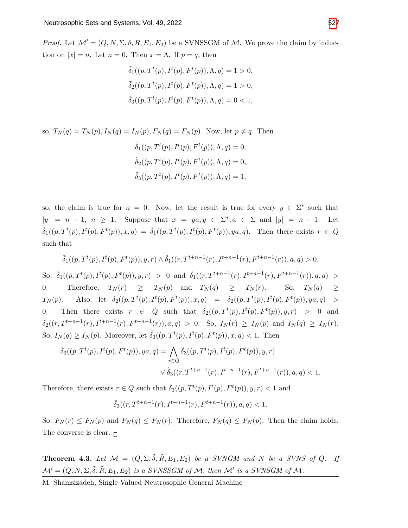*Proof.* Let  $\mathcal{M}' = (Q, N, \Sigma, \delta, R, E_1, E_2)$  be a SVNSSGM of  $\mathcal{M}$ . We prove the claim by induction on  $|x| = n$ . Let  $n = 0$ . Then  $x = \Lambda$ . If  $p = q$ , then

$$
\tilde{\delta}_1((p, T^t(p), I^t(p), F^t(p)), \Lambda, q) = 1 > 0,
$$
  
\n
$$
\tilde{\delta}_2((p, T^t(p), I^t(p), F^t(p)), \Lambda, q) = 1 > 0,
$$
  
\n
$$
\tilde{\delta}_3((p, T^t(p), I^t(p), F^t(p)), \Lambda, q) = 0 < 1,
$$

so, 
$$
T_N(q) = T_N(p), I_N(q) = I_N(p), F_N(q) = F_N(p)
$$
. Now, let  $p \neq q$ . Then  
\n
$$
\tilde{\delta}_1((p, T^t(p), I^t(p), F^t(p)), \Lambda, q) = 0,
$$
\n
$$
\tilde{\delta}_2((p, T^t(p), I^t(p), F^t(p)), \Lambda, q) = 0,
$$
\n
$$
\tilde{\delta}_3((p, T^t(p), I^t(p), F^t(p)), \Lambda, q) = 1,
$$

so, the claim is true for  $n = 0$ . Now, let the result is true for every  $y \in \Sigma^*$  such that  $|y| = n - 1$ ,  $n \ge 1$ . Suppose that  $x = ya, y \in \Sigma^*, a \in \Sigma$  and  $|y| = n - 1$ . Let  $\tilde{\delta}_1((p, T^t(p), I^t(p), F^t(p)), x, q) = \tilde{\delta}_1((p, T^t(p), I^t(p), F^t(p)), ya, q)$ . Then there exists  $r \in Q$ such that

$$
\tilde{\delta}_1((p,T^t(p),I^t(p),F^t(p)),y,r)\wedge \tilde{\delta}_1((r,T^{t+n-1}(r),I^{t+n-1}(r),F^{t+n-1}(r)),a,q)>0.
$$
  
So, 
$$
\tilde{\delta}_1((p,T^t(p),I^t(p),F^t(p)),y,r)>0
$$
 and 
$$
\tilde{\delta}_1((r,T^{t+n-1}(r),I^{t+n-1}(r),F^{t+n-1}(r)),a,q) >
$$
  
0. Therefore,  $T_N(r) \geq T_N(p)$  and  $T_N(q) \geq T_N(r)$ . So,  $T_N(q) \geq T_N(p)$ . Also, let 
$$
\tilde{\delta}_2((p,T^t(p),I^t(p),F^t(p)),x,q) = \tilde{\delta}_2((p,T^t(p),I^t(p),F^t(p)),ya,q) >
$$
  
0. Then there exists  $r \in Q$  such that 
$$
\tilde{\delta}_2((p,T^t(p),I^t(p),F^t(p)),y,r) > 0
$$
 and 
$$
\tilde{\delta}_2((r,T^{t+n-1}(r),I^{t+n-1}(r),F^{t+n-1}(r)),a,q)>0.
$$
 So,  $I_N(r) \geq I_N(p)$  and  $I_N(q) \geq I_N(r)$ .  
So,  $I_N(q) \geq I_N(p)$ . Moreover, let 
$$
\tilde{\delta}_3((p,T^t(p),I^t(p),F^t(p)),x,q) < 1
$$
. Then

$$
\tilde{\delta}_3((p, T^t(p), I^t(p), F^t(p)), ya, q) = \bigwedge_{r \in Q} \tilde{\delta}_3((p, T^t(p), I^t(p), F^t(p)), y, r)
$$

$$
\vee \tilde{\delta}_3((r, T^{t+n-1}(r), I^{t+n-1}(r), F^{t+n-1}(r)), a, q) < 1.
$$

Therefore, there exists  $r \in Q$  such that  $\tilde{\delta}_3((p, T^t(p), I^t(p), F^t(p)), y, r) < 1$  and

$$
\tilde{\delta}_3((r, T^{t+n-1}(r), I^{t+n-1}(r), F^{t+n-1}(r)), a, q) < 1.
$$

So,  $F_N(r) \leq F_N(p)$  and  $F_N(q) \leq F_N(r)$ . Therefore,  $F_N(q) \leq F_N(p)$ . Then the claim holds. The converse is clear.  $\Box$ 

<span id="page-18-0"></span>**Theorem 4.3.** Let  $\mathcal{M} = (Q, \Sigma, \tilde{\delta}, \tilde{R}, E_1, E_2)$  be a SVNGM and N be a SVNS of Q. If  $\mathcal{M}' = (Q, N, \Sigma, \tilde{\delta}, \tilde{R}, E_1, E_2)$  *is a SVNSSGM of M, then*  $\mathcal{M}'$  *is a SVNSGM of M.*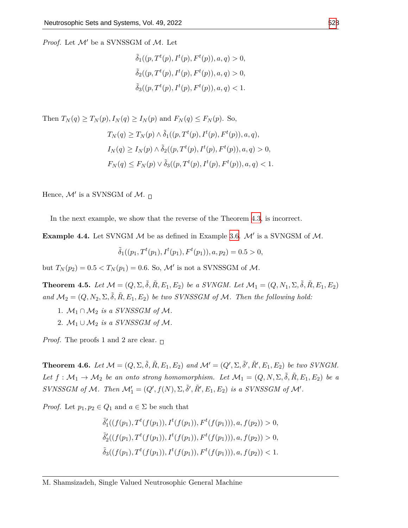*Proof.* Let *M′* be a SVNSSGM of *M*. Let

$$
\tilde{\delta}_1((p, T^t(p), I^t(p), F^t(p)), a, q) > 0,
$$
  
\n
$$
\tilde{\delta}_2((p, T^t(p), I^t(p), F^t(p)), a, q) > 0,
$$
  
\n
$$
\tilde{\delta}_3((p, T^t(p), I^t(p), F^t(p)), a, q) < 1.
$$

Then 
$$
T_N(q) \ge T_N(p), I_N(q) \ge I_N(p)
$$
 and  $F_N(q) \le F_N(p)$ . So,  
\n
$$
T_N(q) \ge T_N(p) \land \tilde{\delta}_1((p, T^t(p), I^t(p), F^t(p)), a, q),
$$
\n
$$
I_N(q) \ge I_N(p) \land \tilde{\delta}_2((p, T^t(p), I^t(p), F^t(p)), a, q) > 0,
$$
\n
$$
F_N(q) \le F_N(p) \lor \tilde{\delta}_3((p, T^t(p), I^t(p), F^t(p)), a, q) < 1
$$

Hence, *M′* is a SVNSGM of *M*.

In the next example, we show that the reverse of the Theorem [4.3](#page-18-0), is incorrect.

**Example 4.4.** Let SVNGM *M* be as defined in Example [3.6](#page-8-0). *M′* is a SVNGSM of *M*.

$$
\tilde{\delta}_1((p_1, T^t(p_1), I^t(p_1), F^t(p_1)), a, p_2) = 0.5 > 0,
$$

but  $T_N(p_2) = 0.5 < T_N(p_1) = 0.6$ . So,  $M'$  is not a SVNSSGM of  $M$ .

**Theorem 4.5.** Let  $M = (Q, \Sigma, \tilde{\delta}, \tilde{R}, E_1, E_2)$  be a SVNGM. Let  $M_1 = (Q, N_1, \Sigma, \tilde{\delta}, \tilde{R}, E_1, E_2)$ and  $\mathcal{M}_2 = (Q, N_2, \Sigma, \tilde{\delta}, \tilde{R}, E_1, E_2)$  *be two SVNSSGM of*  $\mathcal{M}$ *. Then the following hold:* 

- 1.  $M_1 \cap M_2$  *is a SVNSSGM of M*.
- 2.  $M_1 \cup M_2$  *is a SVNSSGM of M.*

*Proof.* The proofs 1 and 2 are clear.  $\Box$ 

**Theorem 4.6.** Let  $\mathcal{M} = (Q, \Sigma, \tilde{\delta}, \tilde{R}, E_1, E_2)$  and  $\mathcal{M}' = (Q', \Sigma, \tilde{\delta}', \tilde{R}', E_1, E_2)$  be two SVNGM. *Let*  $f: \mathcal{M}_1 \to \mathcal{M}_2$  *be an onto strong homomorphism. Let*  $\mathcal{M}_1 = (Q, N, \Sigma, \tilde{\delta}, \tilde{R}, E_1, E_2)$  *be a* SVNSSGM of M. Then  $\mathcal{M}'_1 = (Q', f(N), \Sigma, \tilde{\delta}', \tilde{R}', E_1, E_2)$  is a SVNSSGM of M'.

*Proof.* Let  $p_1, p_2 \in Q_1$  and  $a \in \Sigma$  be such that

$$
\tilde{\delta}'_1((f(p_1), T^t(f(p_1)), I^t(f(p_1)), F^t(f(p_1))), a, f(p_2)) > 0,\n\tilde{\delta}'_2((f(p_1), T^t(f(p_1)), I^t(f(p_1)), F^t(f(p_1))), a, f(p_2)) > 0,\n\tilde{\delta}_3((f(p_1), T^t(f(p_1)), I^t(f(p_1)), F^t(f(p_1))), a, f(p_2)) < 1.
$$

(*p*))*, a, q*) *<* 1*.*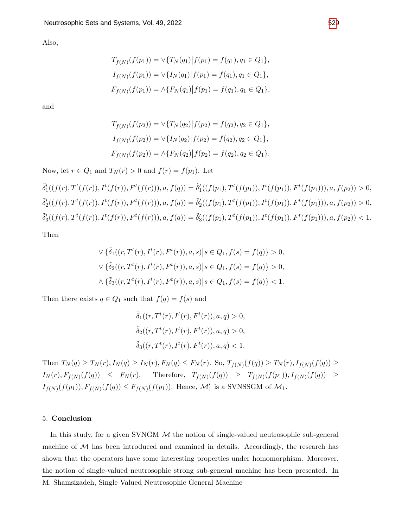Also,

$$
T_{f(N)}(f(p_1)) = \vee \{T_N(q_1) | f(p_1) = f(q_1), q_1 \in Q_1\},
$$
  
\n
$$
I_{f(N)}(f(p_1)) = \vee \{I_N(q_1) | f(p_1) = f(q_1), q_1 \in Q_1\},
$$
  
\n
$$
F_{f(N)}(f(p_1)) = \wedge \{F_N(q_1) | f(p_1) = f(q_1), q_1 \in Q_1\},
$$

and

$$
T_{f(N)}(f(p_2)) = \sqrt{\{T_N(q_2)\} f(p_2)} = f(q_2), q_2 \in Q_1\},
$$
  
\n
$$
I_{f(N)}(f(p_2)) = \sqrt{\{I_N(q_2)\} f(p_2)} = f(q_2), q_2 \in Q_1\},
$$
  
\n
$$
F_{f(N)}(f(p_2)) = \sqrt{\{F_N(q_2)\} f(p_2)} = f(q_2), q_2 \in Q_1\}.
$$

Now, let  $r \in Q_1$  and  $T_N(r) > 0$  and  $f(r) = f(p_1)$ . Let

$$
\tilde{\delta}'_1((f(r), T^t(f(r)), I^t(f(r)), F^t(f(r))), a, f(q)) = \tilde{\delta}'_1((f(p_1), T^t(f(p_1)), I^t(f(p_1)), F^t(f(p_1))), a, f(p_2)) > 0,\n\tilde{\delta}'_2((f(r), T^t(f(r)), I^t(f(r)), F^t(f(r))), a, f(q)) = \tilde{\delta}'_2((f(p_1), T^t(f(p_1)), I^t(f(p_1)), F^t(f(p_1))), a, f(p_2)) > 0,\n\tilde{\delta}'_3((f(r), T^t(f(r)), I^t(f(r)), F^t(f(r))), a, f(q)) = \tilde{\delta}'_3((f(p_1), T^t(f(p_1)), I^t(f(p_1)), F^t(f(p_1))), a, f(p_2)) < 1.
$$

Then

$$
\nabla \{\tilde{\delta}_1((r, T^t(r), I^t(r), F^t(r)), a, s) | s \in Q_1, f(s) = f(q)\} > 0,
$$
  

$$
\nabla \{\tilde{\delta}_2((r, T^t(r), I^t(r), F^t(r)), a, s) | s \in Q_1, f(s) = f(q)\} > 0,
$$
  

$$
\Delta \{\tilde{\delta}_3((r, T^t(r), I^t(r), F^t(r)), a, s) | s \in Q_1, f(s) = f(q)\} < 1.
$$

Then there exists  $q \in Q_1$  such that  $f(q) = f(s)$  and

$$
\tilde{\delta}_1((r, T^t(r), I^t(r), F^t(r)), a, q) > 0,
$$
  

$$
\tilde{\delta}_2((r, T^t(r), I^t(r), F^t(r)), a, q) > 0,
$$
  

$$
\tilde{\delta}_3((r, T^t(r), I^t(r), F^t(r)), a, q) < 1.
$$

Then  $T_N(q) \ge T_N(r)$ ,  $I_N(q) \ge I_N(r)$ ,  $F_N(q) \le F_N(r)$ . So,  $T_{f(N)}(f(q)) \ge T_N(r)$ ,  $I_{f(N)}(f(q)) \ge$  $I_N(r), F_{f(N)}(f(q)) \leq F_N(r)$ . Therefore,  $T_{f(N)}(f(q)) \geq T_{f(N)}(f(p_1)), I_{f(N)}(f(q)) \geq$  $I_{f(N)}(f(p_1)), F_{f(N)}(f(q)) \leq F_{f(N)}(f(p_1)).$  Hence,  $\mathcal{M}'_1$  is a SVNSSGM of  $\mathcal{M}_1$ .

#### 5. **Conclusion**

In this study, for a given SVNGM *M* the notion of single-valued neutrosophic sub-general machine of  $M$  has been introduced and examined in details. Accordingly, the research has shown that the operators have some interesting properties under homomorphism. Moreover, the notion of single-valued neutrosophic strong sub-general machine has been presented. In